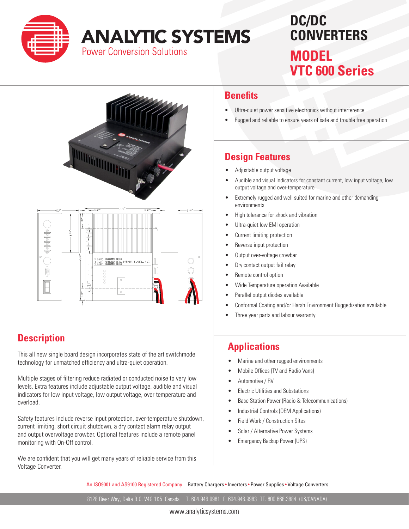

# **ANALYTIC SYSTEMS**

**Power Conversion Solutions** 

## **DC/DC CONVERTERS MODEL**

**VTC 600 Series**

<u>garisk</u>  $\circledcirc$ SU20<br>T020<br>V040  $\begin{smallmatrix} 6880\ 6800\ 6000\ \end{smallmatrix}$  $\circledcirc$ 00000  $\Box$  $\bar{\bullet}$ 

#### **Description**

This all new single board design incorporates state of the art switchmode technology for unmatched efficiency and ultra-quiet operation.

Multiple stages of filtering reduce radiated or conducted noise to very low levels. Extra features include adjustable output voltage, audible and visual indicators for low input voltage, low output voltage, over temperature and overload.

Safety features include reverse input protection, over-temperature shutdown, current limiting, short circuit shutdown, a dry contact alarm relay output and output overvoltage crowbar. Optional features include a remote panel monitoring with On-Off control.

We are confident that you will get many years of reliable service from this Voltage Converter.

#### **Benefits**

- Ultra-quiet power sensitive electronics without interference
- Rugged and reliable to ensure years of safe and trouble free operation

### **Design Features**

- Adjustable output voltage
- Audible and visual indicators for constant current, low input voltage, low output voltage and over-temperature
- Extremely rugged and well suited for marine and other demanding environments
- High tolerance for shock and vibration
- Ultra-quiet low EMI operation
- Current limiting protection
- Reverse input protection
- Output over-voltage crowbar
- Dry contact output fail relay
- Remote control option
- Wide Temperature operation Available
- Parallel output diodes available
- Conformal Coating and/or Harsh Environment Ruggedization available
- Three year parts and labour warranty

#### **Applications**

- Marine and other rugged environments
- Mobile Offices (TV and Radio Vans)
- Automotive / RV
- Electric Utilities and Substations
- Base Station Power (Radio & Telecommunications)
- Industrial Controls (OEM Applications)
- Field Work / Construction Sites
- Solar / Alternative Power Systems
- Emergency Backup Power (UPS)

An ISO9001 and AS9100 Registered Company Battery Chargers • Inverters • Power Supplies • Voltage Converters